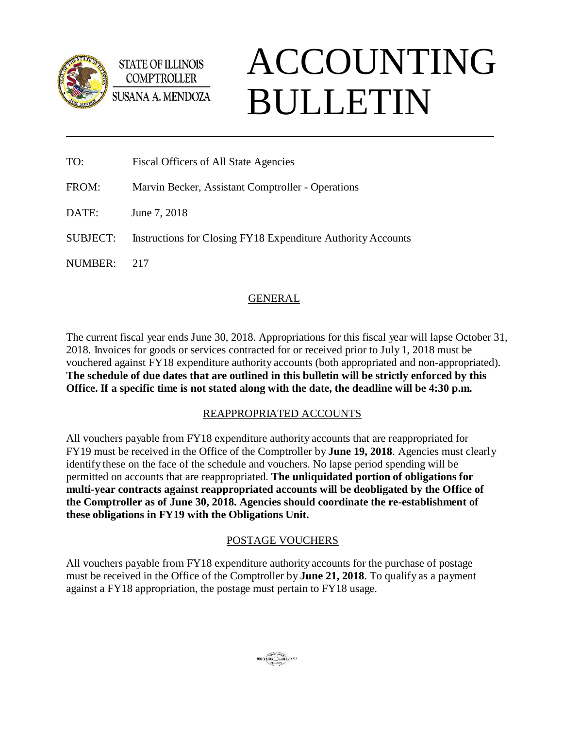

**STATE OF ILLINOIS COMPTROLLER** 

ACCOUNTING BULLETIN

| TO:             | Fiscal Officers of All State Agencies                               |
|-----------------|---------------------------------------------------------------------|
| FROM:           | Marvin Becker, Assistant Comptroller - Operations                   |
| DATE:           | June 7, 2018                                                        |
| <b>SUBJECT:</b> | <b>Instructions for Closing FY18 Expenditure Authority Accounts</b> |
| NUMBER:         | 217                                                                 |

# GENERAL

The current fiscal year ends June 30, 2018. Appropriations for this fiscal year will lapse October 31, 2018. Invoices for goods or services contracted for or received prior to July 1, 2018 must be vouchered against FY18 expenditure authority accounts (both appropriated and non-appropriated). **The schedule of due dates that are outlined in this bulletin will be strictly enforced by this Office. If a specific time is not stated along with the date, the deadline will be 4:30 p.m.**

# REAPPROPRIATED ACCOUNTS

All vouchers payable from FY18 expenditure authority accounts that are reappropriated for FY19 must be received in the Office of the Comptroller by **June 19, 2018**. Agencies must clearly identify these on the face of the schedule and vouchers. No lapse period spending will be permitted on accounts that are reappropriated. **The unliquidated portion of obligations for multi-year contracts against reappropriated accounts will be deobligated by the Office of the Comptroller as of June 30, 2018. Agencies should coordinate the re-establishment of these obligations in FY19 with the Obligations Unit.**

# POSTAGE VOUCHERS

All vouchers payable from FY18 expenditure authority accounts for the purchase of postage must be received in the Office of the Comptroller by **June 21, 2018**. To qualify as a payment against a FY18 appropriation, the postage must pertain to FY18 usage.

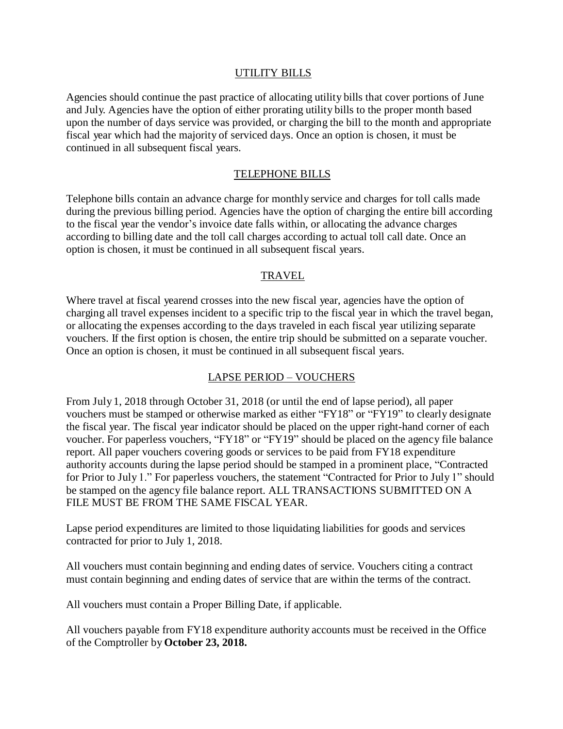### UTILITY BILLS

Agencies should continue the past practice of allocating utility bills that cover portions of June and July. Agencies have the option of either prorating utility bills to the proper month based upon the number of days service was provided, or charging the bill to the month and appropriate fiscal year which had the majority of serviced days. Once an option is chosen, it must be continued in all subsequent fiscal years.

### TELEPHONE BILLS

Telephone bills contain an advance charge for monthly service and charges for toll calls made during the previous billing period. Agencies have the option of charging the entire bill according to the fiscal year the vendor's invoice date falls within, or allocating the advance charges according to billing date and the toll call charges according to actual toll call date. Once an option is chosen, it must be continued in all subsequent fiscal years.

#### TRAVEL

Where travel at fiscal yearend crosses into the new fiscal year, agencies have the option of charging all travel expenses incident to a specific trip to the fiscal year in which the travel began, or allocating the expenses according to the days traveled in each fiscal year utilizing separate vouchers. If the first option is chosen, the entire trip should be submitted on a separate voucher. Once an option is chosen, it must be continued in all subsequent fiscal years.

#### LAPSE PERIOD – VOUCHERS

From July 1, 2018 through October 31, 2018 (or until the end of lapse period), all paper vouchers must be stamped or otherwise marked as either "FY18" or "FY19" to clearly designate the fiscal year. The fiscal year indicator should be placed on the upper right-hand corner of each voucher. For paperless vouchers, "FY18" or "FY19" should be placed on the agency file balance report. All paper vouchers covering goods or services to be paid from FY18 expenditure authority accounts during the lapse period should be stamped in a prominent place, "Contracted for Prior to July 1." For paperless vouchers, the statement "Contracted for Prior to July 1" should be stamped on the agency file balance report. ALL TRANSACTIONS SUBMITTED ON A FILE MUST BE FROM THE SAME FISCAL YEAR.

Lapse period expenditures are limited to those liquidating liabilities for goods and services contracted for prior to July 1, 2018.

All vouchers must contain beginning and ending dates of service. Vouchers citing a contract must contain beginning and ending dates of service that are within the terms of the contract.

All vouchers must contain a Proper Billing Date, if applicable.

All vouchers payable from FY18 expenditure authority accounts must be received in the Office of the Comptroller by **October 23, 2018.**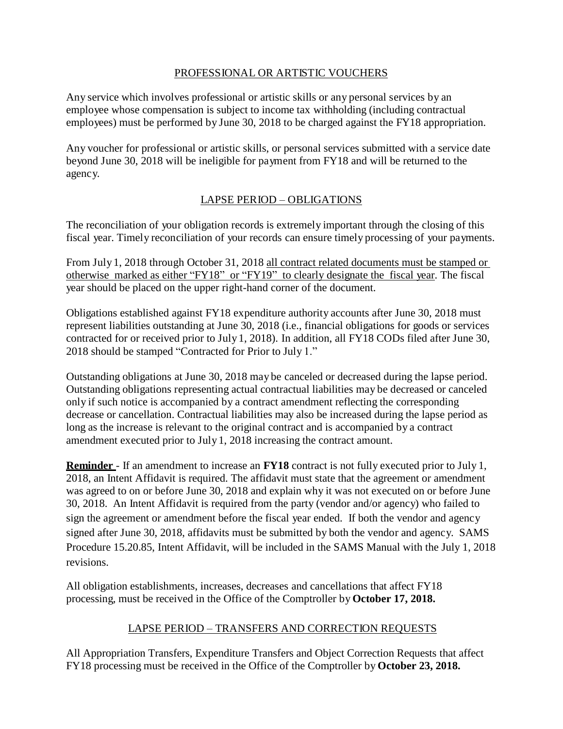## PROFESSIONAL OR ARTISTIC VOUCHERS

Any service which involves professional or artistic skills or any personal services by an employee whose compensation is subject to income tax withholding (including contractual employees) must be performed by June 30, 2018 to be charged against the FY18 appropriation.

Any voucher for professional or artistic skills, or personal services submitted with a service date beyond June 30, 2018 will be ineligible for payment from FY18 and will be returned to the agency.

# LAPSE PERIOD – OBLIGATIONS

The reconciliation of your obligation records is extremely important through the closing of this fiscal year. Timely reconciliation of your records can ensure timely processing of your payments.

From July 1, 2018 through October 31, 2018 all contract related documents must be stamped or otherwise marked as either "FY18" or "FY19" to clearly designate the fiscal year. The fiscal year should be placed on the upper right-hand corner of the document.

Obligations established against FY18 expenditure authority accounts after June 30, 2018 must represent liabilities outstanding at June 30, 2018 (i.e., financial obligations for goods or services contracted for or received prior to July 1, 2018). In addition, all FY18 CODs filed after June 30, 2018 should be stamped "Contracted for Prior to July 1."

Outstanding obligations at June 30, 2018 may be canceled or decreased during the lapse period. Outstanding obligations representing actual contractual liabilities may be decreased or canceled only if such notice is accompanied by a contract amendment reflecting the corresponding decrease or cancellation. Contractual liabilities may also be increased during the lapse period as long as the increase is relevant to the original contract and is accompanied by a contract amendment executed prior to July 1, 2018 increasing the contract amount.

**Reminder** - If an amendment to increase an **FY18** contract is not fully executed prior to July 1, 2018, an Intent Affidavit is required. The affidavit must state that the agreement or amendment was agreed to on or before June 30, 2018 and explain why it was not executed on or before June 30, 2018. An Intent Affidavit is required from the party (vendor and/or agency) who failed to sign the agreement or amendment before the fiscal year ended. If both the vendor and agency signed after June 30, 2018, affidavits must be submitted by both the vendor and agency. SAMS Procedure 15.20.85, Intent Affidavit, will be included in the SAMS Manual with the July 1, 2018 revisions.

All obligation establishments, increases, decreases and cancellations that affect FY18 processing, must be received in the Office of the Comptroller by **October 17, 2018.**

# LAPSE PERIOD – TRANSFERS AND CORRECTION REQUESTS

All Appropriation Transfers, Expenditure Transfers and Object Correction Requests that affect FY18 processing must be received in the Office of the Comptroller by **October 23, 2018.**